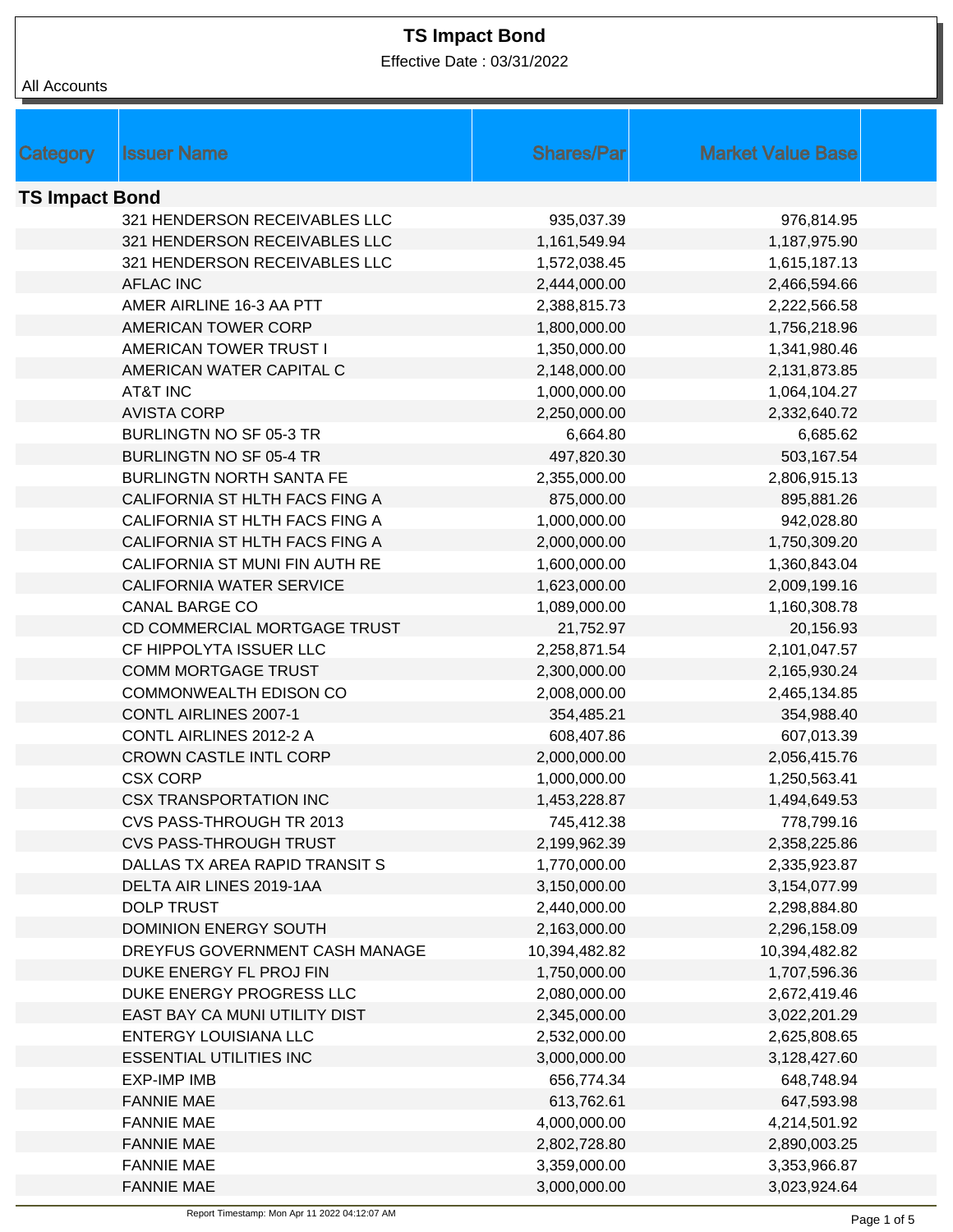Effective Date : 03/31/2022

| <b>Shares/Par</b><br><b>Market Value Base</b><br>Category<br><b>Issuer Name</b><br><b>TS Impact Bond</b><br>321 HENDERSON RECEIVABLES LLC<br>935,037.39<br>976,814.95<br>321 HENDERSON RECEIVABLES LLC<br>1,161,549.94<br>1,187,975.90<br>321 HENDERSON RECEIVABLES LLC<br>1,572,038.45<br>1,615,187.13<br><b>AFLAC INC</b><br>2,444,000.00<br>2,466,594.66<br>AMER AIRLINE 16-3 AA PTT<br>2,388,815.73<br>2,222,566.58<br>AMERICAN TOWER CORP<br>1,800,000.00<br>1,756,218.96<br>AMERICAN TOWER TRUST I<br>1,350,000.00<br>1,341,980.46<br>AMERICAN WATER CAPITAL C<br>2,148,000.00<br>2,131,873.85<br><b>AT&amp;T INC</b><br>1,000,000.00<br>1,064,104.27<br><b>AVISTA CORP</b><br>2,250,000.00<br>2,332,640.72<br><b>BURLINGTN NO SF 05-3 TR</b><br>6,664.80<br>6,685.62<br><b>BURLINGTN NO SF 05-4 TR</b><br>497,820.30<br>503,167.54<br><b>BURLINGTN NORTH SANTA FE</b><br>2,355,000.00<br>2,806,915.13<br>CALIFORNIA ST HLTH FACS FING A<br>875,000.00<br>895,881.26<br>CALIFORNIA ST HLTH FACS FING A<br>1,000,000.00<br>942,028.80<br>1,750,309.20<br>CALIFORNIA ST HLTH FACS FING A<br>2,000,000.00<br>CALIFORNIA ST MUNI FIN AUTH RE<br>1,600,000.00<br>1,360,843.04<br><b>CALIFORNIA WATER SERVICE</b><br>1,623,000.00<br>2,009,199.16<br><b>CANAL BARGE CO</b><br>1,089,000.00<br>1,160,308.78<br>CD COMMERCIAL MORTGAGE TRUST<br>21,752.97<br>20,156.93<br>CF HIPPOLYTA ISSUER LLC<br>2,258,871.54<br>2,101,047.57<br><b>COMM MORTGAGE TRUST</b><br>2,300,000.00<br>2,165,930.24<br><b>COMMONWEALTH EDISON CO</b><br>2,008,000.00<br>2,465,134.85<br>CONTL AIRLINES 2007-1<br>354,485.21<br>354,988.40<br>CONTL AIRLINES 2012-2 A<br>608,407.86<br>607,013.39<br><b>CROWN CASTLE INTL CORP</b><br>2,000,000.00<br>2,056,415.76<br>1,000,000.00<br>1,250,563.41<br><b>CSX CORP</b><br><b>CSX TRANSPORTATION INC</b><br>1,453,228.87<br>1,494,649.53<br>CVS PASS-THROUGH TR 2013<br>745,412.38<br>778,799.16<br><b>CVS PASS-THROUGH TRUST</b><br>2,199,962.39<br>2,358,225.86<br>DALLAS TX AREA RAPID TRANSIT S<br>1,770,000.00<br>2,335,923.87<br>DELTA AIR LINES 2019-1AA<br>3,150,000.00<br>3,154,077.99<br><b>DOLP TRUST</b><br>2,440,000.00<br>2,298,884.80<br><b>DOMINION ENERGY SOUTH</b><br>2,163,000.00<br>2,296,158.09<br>DREYFUS GOVERNMENT CASH MANAGE<br>10,394,482.82<br>10,394,482.82<br>DUKE ENERGY FL PROJ FIN<br>1,750,000.00<br>1,707,596.36<br>DUKE ENERGY PROGRESS LLC<br>2,080,000.00<br>2,672,419.46<br>EAST BAY CA MUNI UTILITY DIST<br>2,345,000.00<br>3,022,201.29<br><b>ENTERGY LOUISIANA LLC</b><br>2,532,000.00<br>2,625,808.65<br><b>ESSENTIAL UTILITIES INC</b><br>3,000,000.00<br>3,128,427.60<br><b>EXP-IMP IMB</b><br>656,774.34<br>648,748.94<br><b>FANNIE MAE</b><br>613,762.61<br>647,593.98<br><b>FANNIE MAE</b><br>4,000,000.00<br>4,214,501.92<br><b>FANNIE MAE</b><br>2,802,728.80<br>2,890,003.25<br><b>FANNIE MAE</b><br>3,359,000.00<br>3,353,966.87<br><b>FANNIE MAE</b><br>3,000,000.00<br>3,023,924.64 | All Accounts |  |  |
|------------------------------------------------------------------------------------------------------------------------------------------------------------------------------------------------------------------------------------------------------------------------------------------------------------------------------------------------------------------------------------------------------------------------------------------------------------------------------------------------------------------------------------------------------------------------------------------------------------------------------------------------------------------------------------------------------------------------------------------------------------------------------------------------------------------------------------------------------------------------------------------------------------------------------------------------------------------------------------------------------------------------------------------------------------------------------------------------------------------------------------------------------------------------------------------------------------------------------------------------------------------------------------------------------------------------------------------------------------------------------------------------------------------------------------------------------------------------------------------------------------------------------------------------------------------------------------------------------------------------------------------------------------------------------------------------------------------------------------------------------------------------------------------------------------------------------------------------------------------------------------------------------------------------------------------------------------------------------------------------------------------------------------------------------------------------------------------------------------------------------------------------------------------------------------------------------------------------------------------------------------------------------------------------------------------------------------------------------------------------------------------------------------------------------------------------------------------------------------------------------------------------------------------------------------------------------------------------------------------------------------------------------------------------------------------------------------------------------------------------------------------------------------------------------------------------------------------------------------------------------------------------------------------------------------------------------------------|--------------|--|--|
|                                                                                                                                                                                                                                                                                                                                                                                                                                                                                                                                                                                                                                                                                                                                                                                                                                                                                                                                                                                                                                                                                                                                                                                                                                                                                                                                                                                                                                                                                                                                                                                                                                                                                                                                                                                                                                                                                                                                                                                                                                                                                                                                                                                                                                                                                                                                                                                                                                                                                                                                                                                                                                                                                                                                                                                                                                                                                                                                                                  |              |  |  |
|                                                                                                                                                                                                                                                                                                                                                                                                                                                                                                                                                                                                                                                                                                                                                                                                                                                                                                                                                                                                                                                                                                                                                                                                                                                                                                                                                                                                                                                                                                                                                                                                                                                                                                                                                                                                                                                                                                                                                                                                                                                                                                                                                                                                                                                                                                                                                                                                                                                                                                                                                                                                                                                                                                                                                                                                                                                                                                                                                                  |              |  |  |
|                                                                                                                                                                                                                                                                                                                                                                                                                                                                                                                                                                                                                                                                                                                                                                                                                                                                                                                                                                                                                                                                                                                                                                                                                                                                                                                                                                                                                                                                                                                                                                                                                                                                                                                                                                                                                                                                                                                                                                                                                                                                                                                                                                                                                                                                                                                                                                                                                                                                                                                                                                                                                                                                                                                                                                                                                                                                                                                                                                  |              |  |  |
|                                                                                                                                                                                                                                                                                                                                                                                                                                                                                                                                                                                                                                                                                                                                                                                                                                                                                                                                                                                                                                                                                                                                                                                                                                                                                                                                                                                                                                                                                                                                                                                                                                                                                                                                                                                                                                                                                                                                                                                                                                                                                                                                                                                                                                                                                                                                                                                                                                                                                                                                                                                                                                                                                                                                                                                                                                                                                                                                                                  |              |  |  |
|                                                                                                                                                                                                                                                                                                                                                                                                                                                                                                                                                                                                                                                                                                                                                                                                                                                                                                                                                                                                                                                                                                                                                                                                                                                                                                                                                                                                                                                                                                                                                                                                                                                                                                                                                                                                                                                                                                                                                                                                                                                                                                                                                                                                                                                                                                                                                                                                                                                                                                                                                                                                                                                                                                                                                                                                                                                                                                                                                                  |              |  |  |
|                                                                                                                                                                                                                                                                                                                                                                                                                                                                                                                                                                                                                                                                                                                                                                                                                                                                                                                                                                                                                                                                                                                                                                                                                                                                                                                                                                                                                                                                                                                                                                                                                                                                                                                                                                                                                                                                                                                                                                                                                                                                                                                                                                                                                                                                                                                                                                                                                                                                                                                                                                                                                                                                                                                                                                                                                                                                                                                                                                  |              |  |  |
|                                                                                                                                                                                                                                                                                                                                                                                                                                                                                                                                                                                                                                                                                                                                                                                                                                                                                                                                                                                                                                                                                                                                                                                                                                                                                                                                                                                                                                                                                                                                                                                                                                                                                                                                                                                                                                                                                                                                                                                                                                                                                                                                                                                                                                                                                                                                                                                                                                                                                                                                                                                                                                                                                                                                                                                                                                                                                                                                                                  |              |  |  |
|                                                                                                                                                                                                                                                                                                                                                                                                                                                                                                                                                                                                                                                                                                                                                                                                                                                                                                                                                                                                                                                                                                                                                                                                                                                                                                                                                                                                                                                                                                                                                                                                                                                                                                                                                                                                                                                                                                                                                                                                                                                                                                                                                                                                                                                                                                                                                                                                                                                                                                                                                                                                                                                                                                                                                                                                                                                                                                                                                                  |              |  |  |
|                                                                                                                                                                                                                                                                                                                                                                                                                                                                                                                                                                                                                                                                                                                                                                                                                                                                                                                                                                                                                                                                                                                                                                                                                                                                                                                                                                                                                                                                                                                                                                                                                                                                                                                                                                                                                                                                                                                                                                                                                                                                                                                                                                                                                                                                                                                                                                                                                                                                                                                                                                                                                                                                                                                                                                                                                                                                                                                                                                  |              |  |  |
|                                                                                                                                                                                                                                                                                                                                                                                                                                                                                                                                                                                                                                                                                                                                                                                                                                                                                                                                                                                                                                                                                                                                                                                                                                                                                                                                                                                                                                                                                                                                                                                                                                                                                                                                                                                                                                                                                                                                                                                                                                                                                                                                                                                                                                                                                                                                                                                                                                                                                                                                                                                                                                                                                                                                                                                                                                                                                                                                                                  |              |  |  |
|                                                                                                                                                                                                                                                                                                                                                                                                                                                                                                                                                                                                                                                                                                                                                                                                                                                                                                                                                                                                                                                                                                                                                                                                                                                                                                                                                                                                                                                                                                                                                                                                                                                                                                                                                                                                                                                                                                                                                                                                                                                                                                                                                                                                                                                                                                                                                                                                                                                                                                                                                                                                                                                                                                                                                                                                                                                                                                                                                                  |              |  |  |
|                                                                                                                                                                                                                                                                                                                                                                                                                                                                                                                                                                                                                                                                                                                                                                                                                                                                                                                                                                                                                                                                                                                                                                                                                                                                                                                                                                                                                                                                                                                                                                                                                                                                                                                                                                                                                                                                                                                                                                                                                                                                                                                                                                                                                                                                                                                                                                                                                                                                                                                                                                                                                                                                                                                                                                                                                                                                                                                                                                  |              |  |  |
|                                                                                                                                                                                                                                                                                                                                                                                                                                                                                                                                                                                                                                                                                                                                                                                                                                                                                                                                                                                                                                                                                                                                                                                                                                                                                                                                                                                                                                                                                                                                                                                                                                                                                                                                                                                                                                                                                                                                                                                                                                                                                                                                                                                                                                                                                                                                                                                                                                                                                                                                                                                                                                                                                                                                                                                                                                                                                                                                                                  |              |  |  |
|                                                                                                                                                                                                                                                                                                                                                                                                                                                                                                                                                                                                                                                                                                                                                                                                                                                                                                                                                                                                                                                                                                                                                                                                                                                                                                                                                                                                                                                                                                                                                                                                                                                                                                                                                                                                                                                                                                                                                                                                                                                                                                                                                                                                                                                                                                                                                                                                                                                                                                                                                                                                                                                                                                                                                                                                                                                                                                                                                                  |              |  |  |
|                                                                                                                                                                                                                                                                                                                                                                                                                                                                                                                                                                                                                                                                                                                                                                                                                                                                                                                                                                                                                                                                                                                                                                                                                                                                                                                                                                                                                                                                                                                                                                                                                                                                                                                                                                                                                                                                                                                                                                                                                                                                                                                                                                                                                                                                                                                                                                                                                                                                                                                                                                                                                                                                                                                                                                                                                                                                                                                                                                  |              |  |  |
|                                                                                                                                                                                                                                                                                                                                                                                                                                                                                                                                                                                                                                                                                                                                                                                                                                                                                                                                                                                                                                                                                                                                                                                                                                                                                                                                                                                                                                                                                                                                                                                                                                                                                                                                                                                                                                                                                                                                                                                                                                                                                                                                                                                                                                                                                                                                                                                                                                                                                                                                                                                                                                                                                                                                                                                                                                                                                                                                                                  |              |  |  |
|                                                                                                                                                                                                                                                                                                                                                                                                                                                                                                                                                                                                                                                                                                                                                                                                                                                                                                                                                                                                                                                                                                                                                                                                                                                                                                                                                                                                                                                                                                                                                                                                                                                                                                                                                                                                                                                                                                                                                                                                                                                                                                                                                                                                                                                                                                                                                                                                                                                                                                                                                                                                                                                                                                                                                                                                                                                                                                                                                                  |              |  |  |
|                                                                                                                                                                                                                                                                                                                                                                                                                                                                                                                                                                                                                                                                                                                                                                                                                                                                                                                                                                                                                                                                                                                                                                                                                                                                                                                                                                                                                                                                                                                                                                                                                                                                                                                                                                                                                                                                                                                                                                                                                                                                                                                                                                                                                                                                                                                                                                                                                                                                                                                                                                                                                                                                                                                                                                                                                                                                                                                                                                  |              |  |  |
|                                                                                                                                                                                                                                                                                                                                                                                                                                                                                                                                                                                                                                                                                                                                                                                                                                                                                                                                                                                                                                                                                                                                                                                                                                                                                                                                                                                                                                                                                                                                                                                                                                                                                                                                                                                                                                                                                                                                                                                                                                                                                                                                                                                                                                                                                                                                                                                                                                                                                                                                                                                                                                                                                                                                                                                                                                                                                                                                                                  |              |  |  |
|                                                                                                                                                                                                                                                                                                                                                                                                                                                                                                                                                                                                                                                                                                                                                                                                                                                                                                                                                                                                                                                                                                                                                                                                                                                                                                                                                                                                                                                                                                                                                                                                                                                                                                                                                                                                                                                                                                                                                                                                                                                                                                                                                                                                                                                                                                                                                                                                                                                                                                                                                                                                                                                                                                                                                                                                                                                                                                                                                                  |              |  |  |
|                                                                                                                                                                                                                                                                                                                                                                                                                                                                                                                                                                                                                                                                                                                                                                                                                                                                                                                                                                                                                                                                                                                                                                                                                                                                                                                                                                                                                                                                                                                                                                                                                                                                                                                                                                                                                                                                                                                                                                                                                                                                                                                                                                                                                                                                                                                                                                                                                                                                                                                                                                                                                                                                                                                                                                                                                                                                                                                                                                  |              |  |  |
|                                                                                                                                                                                                                                                                                                                                                                                                                                                                                                                                                                                                                                                                                                                                                                                                                                                                                                                                                                                                                                                                                                                                                                                                                                                                                                                                                                                                                                                                                                                                                                                                                                                                                                                                                                                                                                                                                                                                                                                                                                                                                                                                                                                                                                                                                                                                                                                                                                                                                                                                                                                                                                                                                                                                                                                                                                                                                                                                                                  |              |  |  |
|                                                                                                                                                                                                                                                                                                                                                                                                                                                                                                                                                                                                                                                                                                                                                                                                                                                                                                                                                                                                                                                                                                                                                                                                                                                                                                                                                                                                                                                                                                                                                                                                                                                                                                                                                                                                                                                                                                                                                                                                                                                                                                                                                                                                                                                                                                                                                                                                                                                                                                                                                                                                                                                                                                                                                                                                                                                                                                                                                                  |              |  |  |
|                                                                                                                                                                                                                                                                                                                                                                                                                                                                                                                                                                                                                                                                                                                                                                                                                                                                                                                                                                                                                                                                                                                                                                                                                                                                                                                                                                                                                                                                                                                                                                                                                                                                                                                                                                                                                                                                                                                                                                                                                                                                                                                                                                                                                                                                                                                                                                                                                                                                                                                                                                                                                                                                                                                                                                                                                                                                                                                                                                  |              |  |  |
|                                                                                                                                                                                                                                                                                                                                                                                                                                                                                                                                                                                                                                                                                                                                                                                                                                                                                                                                                                                                                                                                                                                                                                                                                                                                                                                                                                                                                                                                                                                                                                                                                                                                                                                                                                                                                                                                                                                                                                                                                                                                                                                                                                                                                                                                                                                                                                                                                                                                                                                                                                                                                                                                                                                                                                                                                                                                                                                                                                  |              |  |  |
|                                                                                                                                                                                                                                                                                                                                                                                                                                                                                                                                                                                                                                                                                                                                                                                                                                                                                                                                                                                                                                                                                                                                                                                                                                                                                                                                                                                                                                                                                                                                                                                                                                                                                                                                                                                                                                                                                                                                                                                                                                                                                                                                                                                                                                                                                                                                                                                                                                                                                                                                                                                                                                                                                                                                                                                                                                                                                                                                                                  |              |  |  |
|                                                                                                                                                                                                                                                                                                                                                                                                                                                                                                                                                                                                                                                                                                                                                                                                                                                                                                                                                                                                                                                                                                                                                                                                                                                                                                                                                                                                                                                                                                                                                                                                                                                                                                                                                                                                                                                                                                                                                                                                                                                                                                                                                                                                                                                                                                                                                                                                                                                                                                                                                                                                                                                                                                                                                                                                                                                                                                                                                                  |              |  |  |
|                                                                                                                                                                                                                                                                                                                                                                                                                                                                                                                                                                                                                                                                                                                                                                                                                                                                                                                                                                                                                                                                                                                                                                                                                                                                                                                                                                                                                                                                                                                                                                                                                                                                                                                                                                                                                                                                                                                                                                                                                                                                                                                                                                                                                                                                                                                                                                                                                                                                                                                                                                                                                                                                                                                                                                                                                                                                                                                                                                  |              |  |  |
|                                                                                                                                                                                                                                                                                                                                                                                                                                                                                                                                                                                                                                                                                                                                                                                                                                                                                                                                                                                                                                                                                                                                                                                                                                                                                                                                                                                                                                                                                                                                                                                                                                                                                                                                                                                                                                                                                                                                                                                                                                                                                                                                                                                                                                                                                                                                                                                                                                                                                                                                                                                                                                                                                                                                                                                                                                                                                                                                                                  |              |  |  |
|                                                                                                                                                                                                                                                                                                                                                                                                                                                                                                                                                                                                                                                                                                                                                                                                                                                                                                                                                                                                                                                                                                                                                                                                                                                                                                                                                                                                                                                                                                                                                                                                                                                                                                                                                                                                                                                                                                                                                                                                                                                                                                                                                                                                                                                                                                                                                                                                                                                                                                                                                                                                                                                                                                                                                                                                                                                                                                                                                                  |              |  |  |
|                                                                                                                                                                                                                                                                                                                                                                                                                                                                                                                                                                                                                                                                                                                                                                                                                                                                                                                                                                                                                                                                                                                                                                                                                                                                                                                                                                                                                                                                                                                                                                                                                                                                                                                                                                                                                                                                                                                                                                                                                                                                                                                                                                                                                                                                                                                                                                                                                                                                                                                                                                                                                                                                                                                                                                                                                                                                                                                                                                  |              |  |  |
|                                                                                                                                                                                                                                                                                                                                                                                                                                                                                                                                                                                                                                                                                                                                                                                                                                                                                                                                                                                                                                                                                                                                                                                                                                                                                                                                                                                                                                                                                                                                                                                                                                                                                                                                                                                                                                                                                                                                                                                                                                                                                                                                                                                                                                                                                                                                                                                                                                                                                                                                                                                                                                                                                                                                                                                                                                                                                                                                                                  |              |  |  |
|                                                                                                                                                                                                                                                                                                                                                                                                                                                                                                                                                                                                                                                                                                                                                                                                                                                                                                                                                                                                                                                                                                                                                                                                                                                                                                                                                                                                                                                                                                                                                                                                                                                                                                                                                                                                                                                                                                                                                                                                                                                                                                                                                                                                                                                                                                                                                                                                                                                                                                                                                                                                                                                                                                                                                                                                                                                                                                                                                                  |              |  |  |
|                                                                                                                                                                                                                                                                                                                                                                                                                                                                                                                                                                                                                                                                                                                                                                                                                                                                                                                                                                                                                                                                                                                                                                                                                                                                                                                                                                                                                                                                                                                                                                                                                                                                                                                                                                                                                                                                                                                                                                                                                                                                                                                                                                                                                                                                                                                                                                                                                                                                                                                                                                                                                                                                                                                                                                                                                                                                                                                                                                  |              |  |  |
|                                                                                                                                                                                                                                                                                                                                                                                                                                                                                                                                                                                                                                                                                                                                                                                                                                                                                                                                                                                                                                                                                                                                                                                                                                                                                                                                                                                                                                                                                                                                                                                                                                                                                                                                                                                                                                                                                                                                                                                                                                                                                                                                                                                                                                                                                                                                                                                                                                                                                                                                                                                                                                                                                                                                                                                                                                                                                                                                                                  |              |  |  |
|                                                                                                                                                                                                                                                                                                                                                                                                                                                                                                                                                                                                                                                                                                                                                                                                                                                                                                                                                                                                                                                                                                                                                                                                                                                                                                                                                                                                                                                                                                                                                                                                                                                                                                                                                                                                                                                                                                                                                                                                                                                                                                                                                                                                                                                                                                                                                                                                                                                                                                                                                                                                                                                                                                                                                                                                                                                                                                                                                                  |              |  |  |
|                                                                                                                                                                                                                                                                                                                                                                                                                                                                                                                                                                                                                                                                                                                                                                                                                                                                                                                                                                                                                                                                                                                                                                                                                                                                                                                                                                                                                                                                                                                                                                                                                                                                                                                                                                                                                                                                                                                                                                                                                                                                                                                                                                                                                                                                                                                                                                                                                                                                                                                                                                                                                                                                                                                                                                                                                                                                                                                                                                  |              |  |  |
|                                                                                                                                                                                                                                                                                                                                                                                                                                                                                                                                                                                                                                                                                                                                                                                                                                                                                                                                                                                                                                                                                                                                                                                                                                                                                                                                                                                                                                                                                                                                                                                                                                                                                                                                                                                                                                                                                                                                                                                                                                                                                                                                                                                                                                                                                                                                                                                                                                                                                                                                                                                                                                                                                                                                                                                                                                                                                                                                                                  |              |  |  |
|                                                                                                                                                                                                                                                                                                                                                                                                                                                                                                                                                                                                                                                                                                                                                                                                                                                                                                                                                                                                                                                                                                                                                                                                                                                                                                                                                                                                                                                                                                                                                                                                                                                                                                                                                                                                                                                                                                                                                                                                                                                                                                                                                                                                                                                                                                                                                                                                                                                                                                                                                                                                                                                                                                                                                                                                                                                                                                                                                                  |              |  |  |
|                                                                                                                                                                                                                                                                                                                                                                                                                                                                                                                                                                                                                                                                                                                                                                                                                                                                                                                                                                                                                                                                                                                                                                                                                                                                                                                                                                                                                                                                                                                                                                                                                                                                                                                                                                                                                                                                                                                                                                                                                                                                                                                                                                                                                                                                                                                                                                                                                                                                                                                                                                                                                                                                                                                                                                                                                                                                                                                                                                  |              |  |  |
|                                                                                                                                                                                                                                                                                                                                                                                                                                                                                                                                                                                                                                                                                                                                                                                                                                                                                                                                                                                                                                                                                                                                                                                                                                                                                                                                                                                                                                                                                                                                                                                                                                                                                                                                                                                                                                                                                                                                                                                                                                                                                                                                                                                                                                                                                                                                                                                                                                                                                                                                                                                                                                                                                                                                                                                                                                                                                                                                                                  |              |  |  |
|                                                                                                                                                                                                                                                                                                                                                                                                                                                                                                                                                                                                                                                                                                                                                                                                                                                                                                                                                                                                                                                                                                                                                                                                                                                                                                                                                                                                                                                                                                                                                                                                                                                                                                                                                                                                                                                                                                                                                                                                                                                                                                                                                                                                                                                                                                                                                                                                                                                                                                                                                                                                                                                                                                                                                                                                                                                                                                                                                                  |              |  |  |
|                                                                                                                                                                                                                                                                                                                                                                                                                                                                                                                                                                                                                                                                                                                                                                                                                                                                                                                                                                                                                                                                                                                                                                                                                                                                                                                                                                                                                                                                                                                                                                                                                                                                                                                                                                                                                                                                                                                                                                                                                                                                                                                                                                                                                                                                                                                                                                                                                                                                                                                                                                                                                                                                                                                                                                                                                                                                                                                                                                  |              |  |  |
|                                                                                                                                                                                                                                                                                                                                                                                                                                                                                                                                                                                                                                                                                                                                                                                                                                                                                                                                                                                                                                                                                                                                                                                                                                                                                                                                                                                                                                                                                                                                                                                                                                                                                                                                                                                                                                                                                                                                                                                                                                                                                                                                                                                                                                                                                                                                                                                                                                                                                                                                                                                                                                                                                                                                                                                                                                                                                                                                                                  |              |  |  |
|                                                                                                                                                                                                                                                                                                                                                                                                                                                                                                                                                                                                                                                                                                                                                                                                                                                                                                                                                                                                                                                                                                                                                                                                                                                                                                                                                                                                                                                                                                                                                                                                                                                                                                                                                                                                                                                                                                                                                                                                                                                                                                                                                                                                                                                                                                                                                                                                                                                                                                                                                                                                                                                                                                                                                                                                                                                                                                                                                                  |              |  |  |
|                                                                                                                                                                                                                                                                                                                                                                                                                                                                                                                                                                                                                                                                                                                                                                                                                                                                                                                                                                                                                                                                                                                                                                                                                                                                                                                                                                                                                                                                                                                                                                                                                                                                                                                                                                                                                                                                                                                                                                                                                                                                                                                                                                                                                                                                                                                                                                                                                                                                                                                                                                                                                                                                                                                                                                                                                                                                                                                                                                  |              |  |  |
|                                                                                                                                                                                                                                                                                                                                                                                                                                                                                                                                                                                                                                                                                                                                                                                                                                                                                                                                                                                                                                                                                                                                                                                                                                                                                                                                                                                                                                                                                                                                                                                                                                                                                                                                                                                                                                                                                                                                                                                                                                                                                                                                                                                                                                                                                                                                                                                                                                                                                                                                                                                                                                                                                                                                                                                                                                                                                                                                                                  |              |  |  |
|                                                                                                                                                                                                                                                                                                                                                                                                                                                                                                                                                                                                                                                                                                                                                                                                                                                                                                                                                                                                                                                                                                                                                                                                                                                                                                                                                                                                                                                                                                                                                                                                                                                                                                                                                                                                                                                                                                                                                                                                                                                                                                                                                                                                                                                                                                                                                                                                                                                                                                                                                                                                                                                                                                                                                                                                                                                                                                                                                                  |              |  |  |
|                                                                                                                                                                                                                                                                                                                                                                                                                                                                                                                                                                                                                                                                                                                                                                                                                                                                                                                                                                                                                                                                                                                                                                                                                                                                                                                                                                                                                                                                                                                                                                                                                                                                                                                                                                                                                                                                                                                                                                                                                                                                                                                                                                                                                                                                                                                                                                                                                                                                                                                                                                                                                                                                                                                                                                                                                                                                                                                                                                  |              |  |  |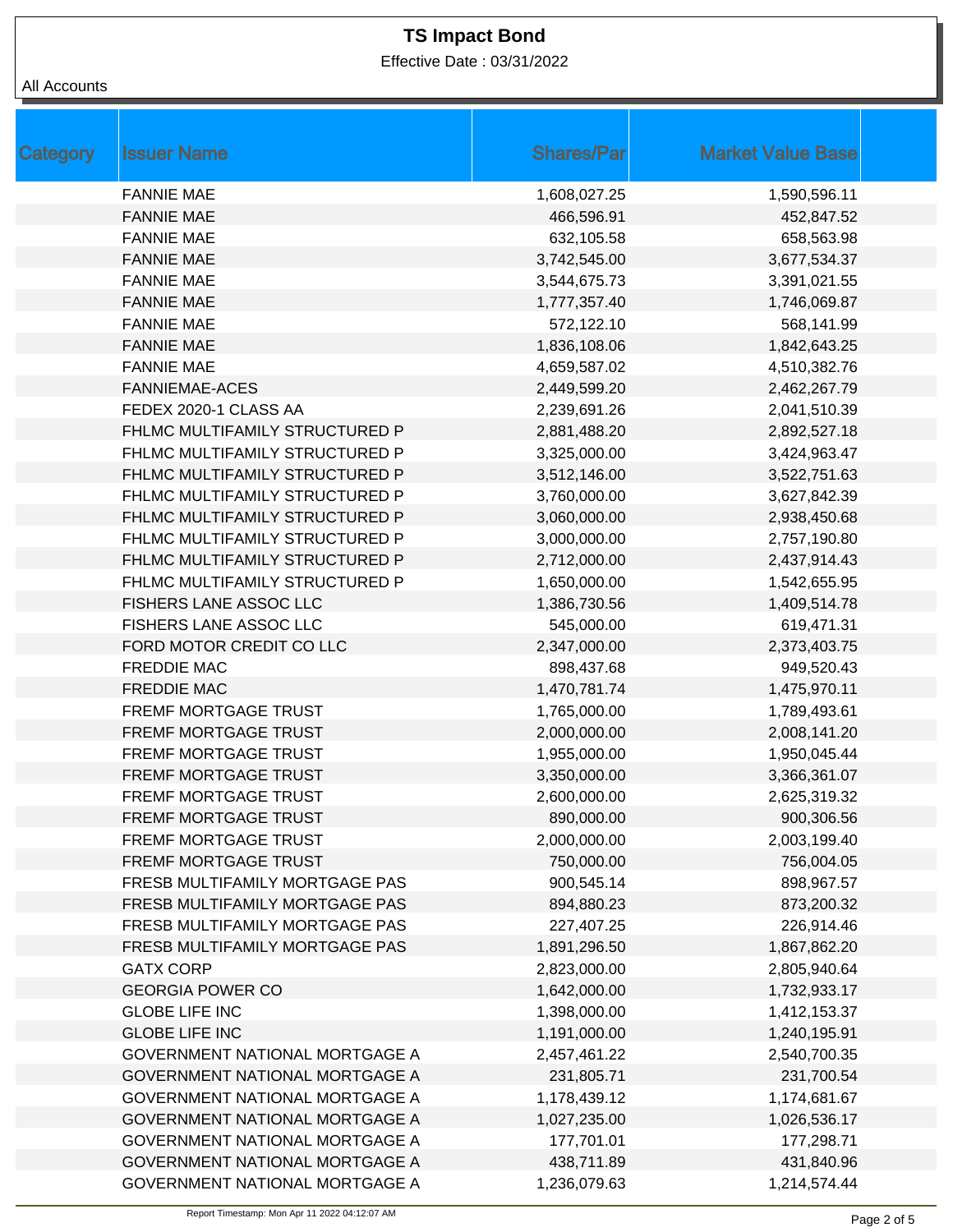Effective Date : 03/31/2022

### All Accounts

| Category | <b>Issuer Name</b>             | <b>Shares/Par</b> | <b>Market Value Base</b> |
|----------|--------------------------------|-------------------|--------------------------|
|          | <b>FANNIE MAE</b>              | 1,608,027.25      | 1,590,596.11             |
|          | <b>FANNIE MAE</b>              | 466,596.91        | 452,847.52               |
|          | <b>FANNIE MAE</b>              | 632,105.58        | 658,563.98               |
|          | <b>FANNIE MAE</b>              | 3,742,545.00      | 3,677,534.37             |
|          | <b>FANNIE MAE</b>              | 3,544,675.73      | 3,391,021.55             |
|          | <b>FANNIE MAE</b>              | 1,777,357.40      | 1,746,069.87             |
|          | <b>FANNIE MAE</b>              | 572,122.10        | 568,141.99               |
|          | <b>FANNIE MAE</b>              | 1,836,108.06      | 1,842,643.25             |
|          | <b>FANNIE MAE</b>              | 4,659,587.02      | 4,510,382.76             |
|          | <b>FANNIEMAE-ACES</b>          | 2,449,599.20      | 2,462,267.79             |
|          | FEDEX 2020-1 CLASS AA          | 2,239,691.26      | 2,041,510.39             |
|          | FHLMC MULTIFAMILY STRUCTURED P | 2,881,488.20      | 2,892,527.18             |
|          | FHLMC MULTIFAMILY STRUCTURED P | 3,325,000.00      | 3,424,963.47             |
|          | FHLMC MULTIFAMILY STRUCTURED P | 3,512,146.00      | 3,522,751.63             |
|          | FHLMC MULTIFAMILY STRUCTURED P | 3,760,000.00      | 3,627,842.39             |
|          | FHLMC MULTIFAMILY STRUCTURED P | 3,060,000.00      | 2,938,450.68             |
|          | FHLMC MULTIFAMILY STRUCTURED P | 3,000,000.00      | 2,757,190.80             |
|          | FHLMC MULTIFAMILY STRUCTURED P | 2,712,000.00      | 2,437,914.43             |
|          | FHLMC MULTIFAMILY STRUCTURED P | 1,650,000.00      | 1,542,655.95             |
|          | FISHERS LANE ASSOC LLC         | 1,386,730.56      | 1,409,514.78             |
|          | FISHERS LANE ASSOC LLC         | 545,000.00        | 619,471.31               |
|          | FORD MOTOR CREDIT CO LLC       | 2,347,000.00      | 2,373,403.75             |
|          | <b>FREDDIE MAC</b>             | 898,437.68        | 949,520.43               |
|          | <b>FREDDIE MAC</b>             | 1,470,781.74      | 1,475,970.11             |
|          | FREMF MORTGAGE TRUST           | 1,765,000.00      | 1,789,493.61             |
|          | <b>FREMF MORTGAGE TRUST</b>    | 2,000,000.00      | 2,008,141.20             |
|          | FREMF MORTGAGE TRUST           | 1,955,000.00      | 1,950,045.44             |
|          | <b>FREMF MORTGAGE TRUST</b>    | 3,350,000.00      | 3,366,361.07             |
|          | FREMF MORTGAGE TRUST           | 2,600,000.00      | 2,625,319.32             |
|          | FREMF MORTGAGE TRUST           | 890,000.00        | 900,306.56               |
|          | FREMF MORTGAGE TRUST           | 2,000,000.00      | 2,003,199.40             |
|          | <b>FREMF MORTGAGE TRUST</b>    | 750,000.00        | 756,004.05               |
|          | FRESB MULTIFAMILY MORTGAGE PAS | 900,545.14        | 898,967.57               |
|          | FRESB MULTIFAMILY MORTGAGE PAS | 894,880.23        | 873,200.32               |
|          | FRESB MULTIFAMILY MORTGAGE PAS | 227,407.25        | 226,914.46               |
|          | FRESB MULTIFAMILY MORTGAGE PAS | 1,891,296.50      | 1,867,862.20             |
|          | <b>GATX CORP</b>               | 2,823,000.00      | 2,805,940.64             |
|          | <b>GEORGIA POWER CO</b>        | 1,642,000.00      | 1,732,933.17             |
|          | <b>GLOBE LIFE INC</b>          | 1,398,000.00      | 1,412,153.37             |
|          | <b>GLOBE LIFE INC</b>          | 1,191,000.00      | 1,240,195.91             |
|          | GOVERNMENT NATIONAL MORTGAGE A | 2,457,461.22      | 2,540,700.35             |
|          | GOVERNMENT NATIONAL MORTGAGE A | 231,805.71        | 231,700.54               |
|          | GOVERNMENT NATIONAL MORTGAGE A | 1,178,439.12      | 1,174,681.67             |
|          | GOVERNMENT NATIONAL MORTGAGE A | 1,027,235.00      | 1,026,536.17             |
|          | GOVERNMENT NATIONAL MORTGAGE A | 177,701.01        | 177,298.71               |
|          | GOVERNMENT NATIONAL MORTGAGE A | 438,711.89        | 431,840.96               |
|          | GOVERNMENT NATIONAL MORTGAGE A | 1,236,079.63      | 1,214,574.44             |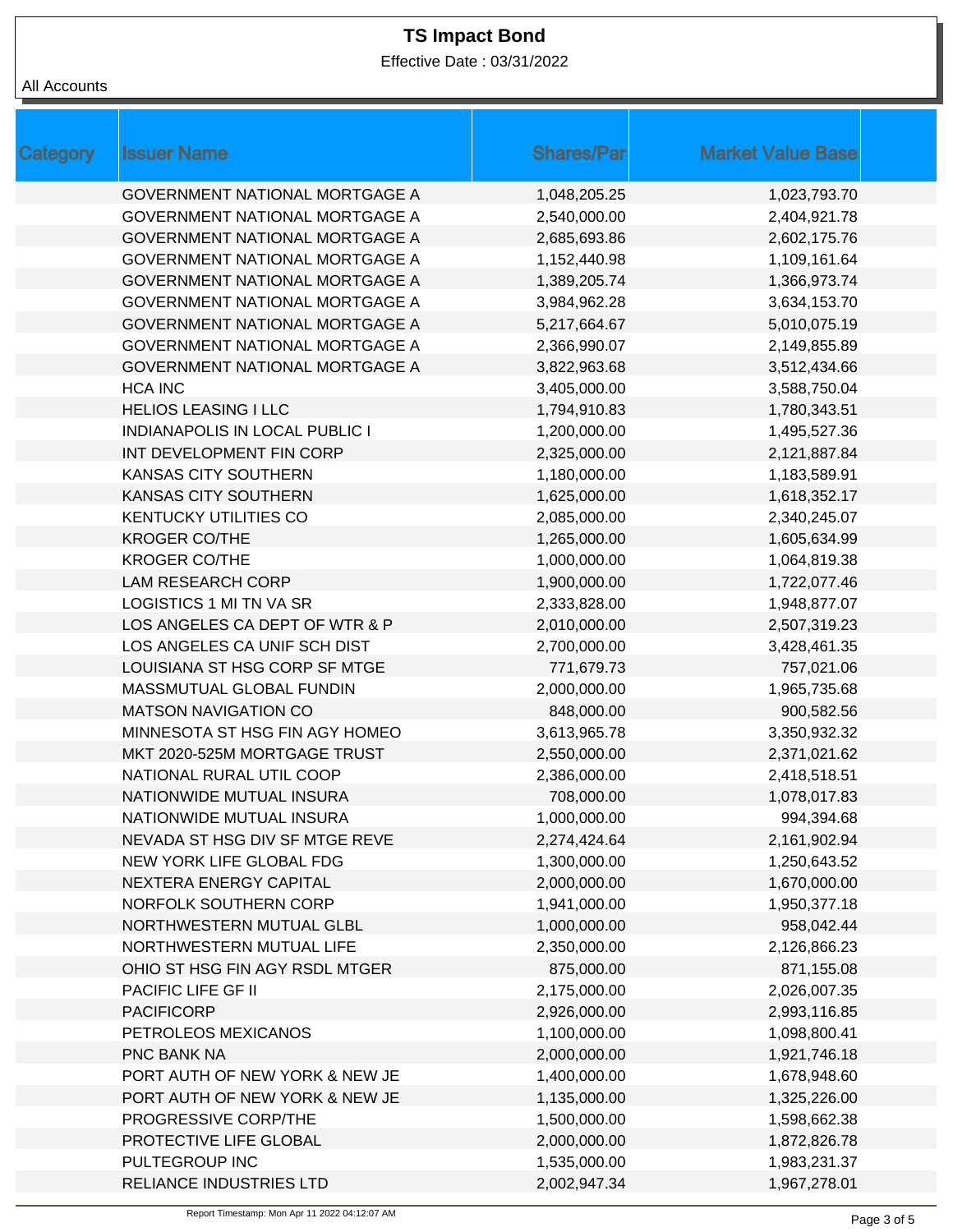Effective Date : 03/31/2022

| <b>Category</b> | <b>Issuer Name</b>                    | <b>Shares/Par</b> | <b>Market Value Base</b> |
|-----------------|---------------------------------------|-------------------|--------------------------|
|                 | <b>GOVERNMENT NATIONAL MORTGAGE A</b> | 1,048,205.25      | 1,023,793.70             |
|                 | <b>GOVERNMENT NATIONAL MORTGAGE A</b> | 2,540,000.00      | 2,404,921.78             |
|                 | <b>GOVERNMENT NATIONAL MORTGAGE A</b> | 2,685,693.86      | 2,602,175.76             |
|                 | GOVERNMENT NATIONAL MORTGAGE A        | 1,152,440.98      | 1,109,161.64             |
|                 | <b>GOVERNMENT NATIONAL MORTGAGE A</b> | 1,389,205.74      | 1,366,973.74             |
|                 | GOVERNMENT NATIONAL MORTGAGE A        | 3,984,962.28      | 3,634,153.70             |
|                 | GOVERNMENT NATIONAL MORTGAGE A        | 5,217,664.67      | 5,010,075.19             |
|                 | GOVERNMENT NATIONAL MORTGAGE A        | 2,366,990.07      | 2,149,855.89             |
|                 | GOVERNMENT NATIONAL MORTGAGE A        | 3,822,963.68      | 3,512,434.66             |
|                 | <b>HCA INC</b>                        | 3,405,000.00      | 3,588,750.04             |
|                 | <b>HELIOS LEASING I LLC</b>           | 1,794,910.83      | 1,780,343.51             |
|                 | <b>INDIANAPOLIS IN LOCAL PUBLIC I</b> | 1,200,000.00      | 1,495,527.36             |
|                 | INT DEVELOPMENT FIN CORP              | 2,325,000.00      | 2,121,887.84             |
|                 | KANSAS CITY SOUTHERN                  | 1,180,000.00      | 1,183,589.91             |
|                 | <b>KANSAS CITY SOUTHERN</b>           | 1,625,000.00      | 1,618,352.17             |
|                 | <b>KENTUCKY UTILITIES CO</b>          | 2,085,000.00      | 2,340,245.07             |
|                 | <b>KROGER CO/THE</b>                  | 1,265,000.00      | 1,605,634.99             |
|                 | <b>KROGER CO/THE</b>                  | 1,000,000.00      | 1,064,819.38             |
|                 | <b>LAM RESEARCH CORP</b>              | 1,900,000.00      | 1,722,077.46             |
|                 | LOGISTICS 1 MI TN VA SR               | 2,333,828.00      | 1,948,877.07             |
|                 | LOS ANGELES CA DEPT OF WTR & P        | 2,010,000.00      | 2,507,319.23             |
|                 | LOS ANGELES CA UNIF SCH DIST          | 2,700,000.00      | 3,428,461.35             |
|                 | LOUISIANA ST HSG CORP SF MTGE         | 771,679.73        | 757,021.06               |
|                 | MASSMUTUAL GLOBAL FUNDIN              | 2,000,000.00      | 1,965,735.68             |
|                 | <b>MATSON NAVIGATION CO</b>           | 848,000.00        | 900,582.56               |
|                 | MINNESOTA ST HSG FIN AGY HOMEO        | 3,613,965.78      | 3,350,932.32             |
|                 | MKT 2020-525M MORTGAGE TRUST          | 2,550,000.00      | 2,371,021.62             |
|                 | NATIONAL RURAL UTIL COOP              | 2,386,000.00      | 2,418,518.51             |
|                 | NATIONWIDE MUTUAL INSURA              | 708,000.00        | 1,078,017.83             |
|                 | NATIONWIDE MUTUAL INSURA              | 1,000,000.00      | 994,394.68               |
|                 | NEVADA ST HSG DIV SF MTGE REVE        | 2,274,424.64      | 2,161,902.94             |
|                 | NEW YORK LIFE GLOBAL FDG              | 1,300,000.00      | 1,250,643.52             |
|                 | NEXTERA ENERGY CAPITAL                | 2,000,000.00      | 1,670,000.00             |
|                 | NORFOLK SOUTHERN CORP                 | 1,941,000.00      | 1,950,377.18             |
|                 | NORTHWESTERN MUTUAL GLBL              | 1,000,000.00      | 958,042.44               |
|                 | NORTHWESTERN MUTUAL LIFE              | 2,350,000.00      | 2,126,866.23             |
|                 | OHIO ST HSG FIN AGY RSDL MTGER        | 875,000.00        | 871,155.08               |
|                 | PACIFIC LIFE GF II                    | 2,175,000.00      | 2,026,007.35             |
|                 | <b>PACIFICORP</b>                     | 2,926,000.00      | 2,993,116.85             |
|                 | PETROLEOS MEXICANOS                   | 1,100,000.00      | 1,098,800.41             |
|                 | PNC BANK NA                           | 2,000,000.00      | 1,921,746.18             |
|                 | PORT AUTH OF NEW YORK & NEW JE        | 1,400,000.00      | 1,678,948.60             |
|                 | PORT AUTH OF NEW YORK & NEW JE        | 1,135,000.00      | 1,325,226.00             |
|                 | PROGRESSIVE CORP/THE                  | 1,500,000.00      | 1,598,662.38             |
|                 | PROTECTIVE LIFE GLOBAL                | 2,000,000.00      | 1,872,826.78             |
|                 | PULTEGROUP INC                        | 1,535,000.00      | 1,983,231.37             |
|                 | RELIANCE INDUSTRIES LTD               | 2,002,947.34      | 1,967,278.01             |
|                 |                                       |                   |                          |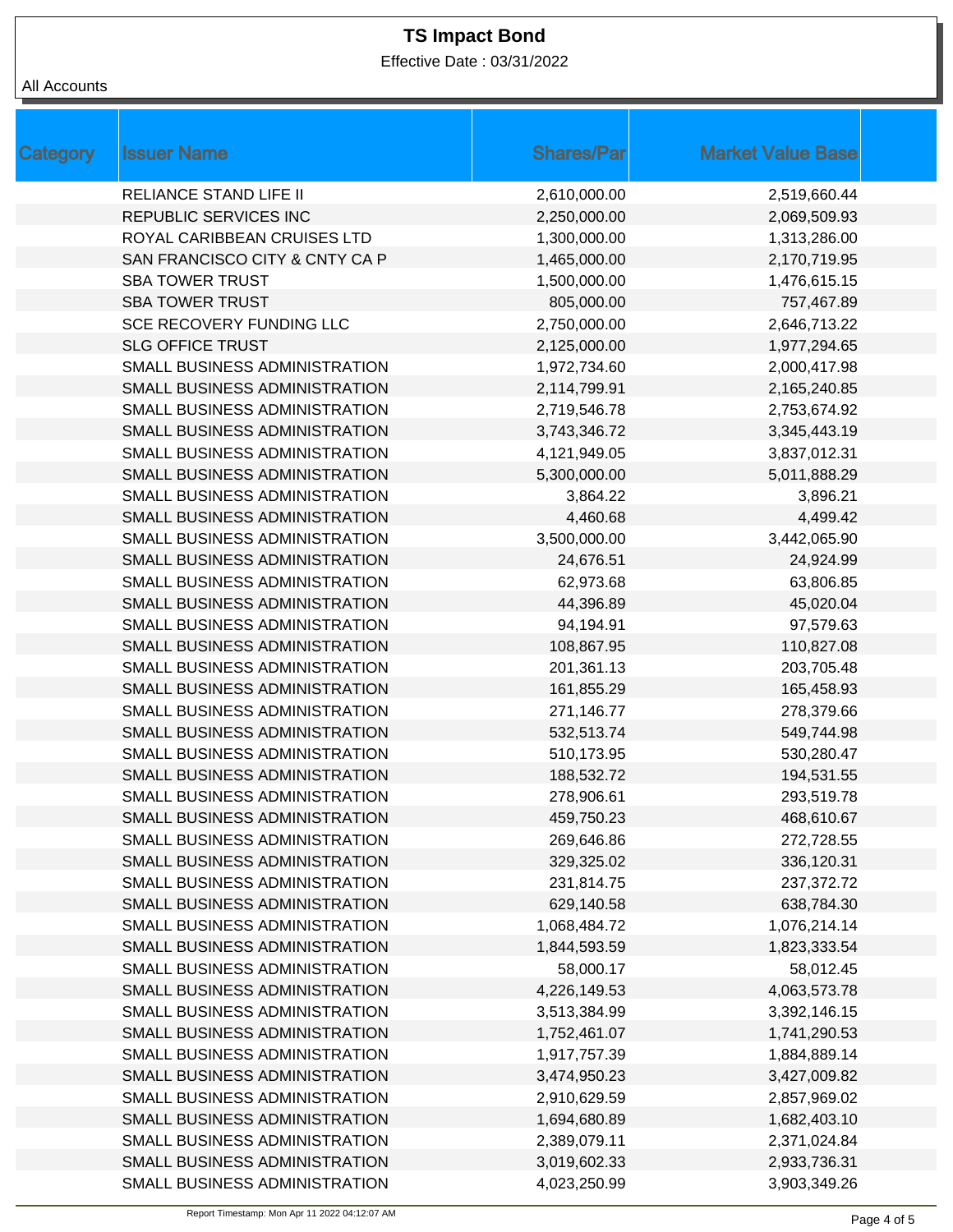Effective Date : 03/31/2022

#### All Accounts

| <b>Category</b> | <b>Issuer Name</b>             | <b>Shares/Par</b> | <b>Market Value Base</b> |
|-----------------|--------------------------------|-------------------|--------------------------|
|                 | <b>RELIANCE STAND LIFE II</b>  | 2,610,000.00      | 2,519,660.44             |
|                 | REPUBLIC SERVICES INC          | 2,250,000.00      | 2,069,509.93             |
|                 | ROYAL CARIBBEAN CRUISES LTD    | 1,300,000.00      | 1,313,286.00             |
|                 | SAN FRANCISCO CITY & CNTY CA P | 1,465,000.00      | 2,170,719.95             |
|                 | <b>SBA TOWER TRUST</b>         | 1,500,000.00      | 1,476,615.15             |
|                 | <b>SBA TOWER TRUST</b>         | 805,000.00        | 757,467.89               |
|                 | SCE RECOVERY FUNDING LLC       | 2,750,000.00      | 2,646,713.22             |
|                 | <b>SLG OFFICE TRUST</b>        | 2,125,000.00      | 1,977,294.65             |
|                 | SMALL BUSINESS ADMINISTRATION  | 1,972,734.60      | 2,000,417.98             |
|                 | SMALL BUSINESS ADMINISTRATION  | 2,114,799.91      | 2,165,240.85             |
|                 | SMALL BUSINESS ADMINISTRATION  | 2,719,546.78      | 2,753,674.92             |
|                 | SMALL BUSINESS ADMINISTRATION  | 3,743,346.72      | 3,345,443.19             |
|                 | SMALL BUSINESS ADMINISTRATION  | 4,121,949.05      | 3,837,012.31             |
|                 | SMALL BUSINESS ADMINISTRATION  | 5,300,000.00      | 5,011,888.29             |
|                 | SMALL BUSINESS ADMINISTRATION  | 3,864.22          | 3,896.21                 |
|                 | SMALL BUSINESS ADMINISTRATION  | 4,460.68          | 4,499.42                 |
|                 | SMALL BUSINESS ADMINISTRATION  | 3,500,000.00      | 3,442,065.90             |
|                 | SMALL BUSINESS ADMINISTRATION  | 24,676.51         | 24,924.99                |
|                 | SMALL BUSINESS ADMINISTRATION  | 62,973.68         | 63,806.85                |
|                 | SMALL BUSINESS ADMINISTRATION  | 44,396.89         | 45,020.04                |
|                 | SMALL BUSINESS ADMINISTRATION  | 94,194.91         | 97,579.63                |
|                 | SMALL BUSINESS ADMINISTRATION  | 108,867.95        | 110,827.08               |
|                 | SMALL BUSINESS ADMINISTRATION  | 201,361.13        | 203,705.48               |
|                 | SMALL BUSINESS ADMINISTRATION  | 161,855.29        | 165,458.93               |
|                 | SMALL BUSINESS ADMINISTRATION  | 271,146.77        | 278,379.66               |
|                 | SMALL BUSINESS ADMINISTRATION  | 532,513.74        | 549,744.98               |
|                 | SMALL BUSINESS ADMINISTRATION  | 510,173.95        | 530,280.47               |
|                 | SMALL BUSINESS ADMINISTRATION  | 188,532.72        | 194,531.55               |
|                 | SMALL BUSINESS ADMINISTRATION  | 278,906.61        | 293,519.78               |
|                 | SMALL BUSINESS ADMINISTRATION  | 459,750.23        | 468,610.67               |
|                 | SMALL BUSINESS ADMINISTRATION  | 269,646.86        | 272,728.55               |
|                 | SMALL BUSINESS ADMINISTRATION  | 329,325.02        | 336,120.31               |
|                 | SMALL BUSINESS ADMINISTRATION  | 231,814.75        | 237,372.72               |
|                 | SMALL BUSINESS ADMINISTRATION  | 629,140.58        | 638,784.30               |
|                 | SMALL BUSINESS ADMINISTRATION  | 1,068,484.72      | 1,076,214.14             |
|                 | SMALL BUSINESS ADMINISTRATION  | 1,844,593.59      | 1,823,333.54             |
|                 | SMALL BUSINESS ADMINISTRATION  | 58,000.17         | 58,012.45                |
|                 | SMALL BUSINESS ADMINISTRATION  | 4,226,149.53      | 4,063,573.78             |
|                 | SMALL BUSINESS ADMINISTRATION  | 3,513,384.99      | 3,392,146.15             |
|                 | SMALL BUSINESS ADMINISTRATION  | 1,752,461.07      | 1,741,290.53             |
|                 | SMALL BUSINESS ADMINISTRATION  | 1,917,757.39      | 1,884,889.14             |
|                 | SMALL BUSINESS ADMINISTRATION  | 3,474,950.23      | 3,427,009.82             |
|                 | SMALL BUSINESS ADMINISTRATION  | 2,910,629.59      | 2,857,969.02             |
|                 | SMALL BUSINESS ADMINISTRATION  | 1,694,680.89      | 1,682,403.10             |
|                 | SMALL BUSINESS ADMINISTRATION  | 2,389,079.11      | 2,371,024.84             |
|                 | SMALL BUSINESS ADMINISTRATION  | 3,019,602.33      | 2,933,736.31             |
|                 | SMALL BUSINESS ADMINISTRATION  | 4,023,250.99      | 3,903,349.26             |